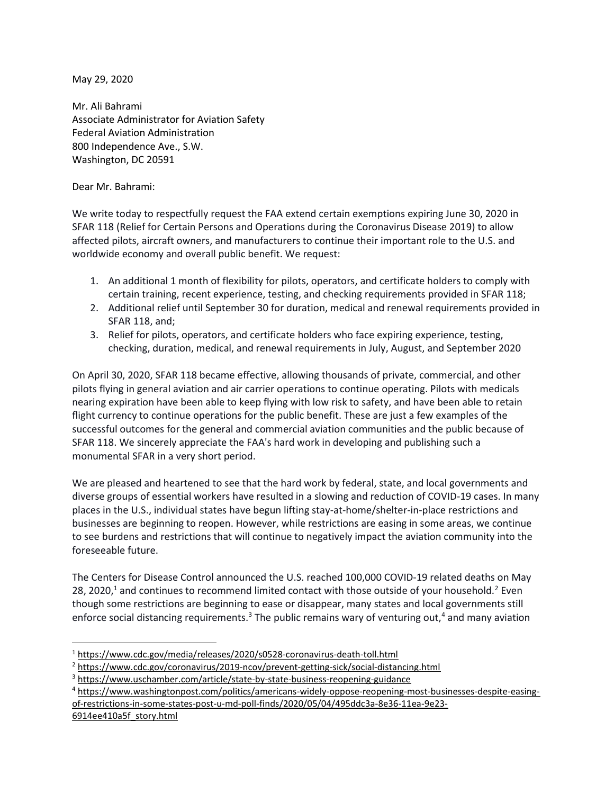May 29, 2020

Mr. Ali Bahrami Associate Administrator for Aviation Safety Federal Aviation Administration 800 Independence Ave., S.W. Washington, DC 20591

Dear Mr. Bahrami:

We write today to respectfully request the FAA extend certain exemptions expiring June 30, 2020 in SFAR 118 (Relief for Certain Persons and Operations during the Coronavirus Disease 2019) to allow affected pilots, aircraft owners, and manufacturers to continue their important role to the U.S. and worldwide economy and overall public benefit. We request:

- 1. An additional 1 month of flexibility for pilots, operators, and certificate holders to comply with certain training, recent experience, testing, and checking requirements provided in SFAR 118;
- 2. Additional relief until September 30 for duration, medical and renewal requirements provided in SFAR 118, and;
- 3. Relief for pilots, operators, and certificate holders who face expiring experience, testing, checking, duration, medical, and renewal requirements in July, August, and September 2020

On April 30, 2020, SFAR 118 became effective, allowing thousands of private, commercial, and other pilots flying in general aviation and air carrier operations to continue operating. Pilots with medicals nearing expiration have been able to keep flying with low risk to safety, and have been able to retain flight currency to continue operations for the public benefit. These are just a few examples of the successful outcomes for the general and commercial aviation communities and the public because of SFAR 118. We sincerely appreciate the FAA's hard work in developing and publishing such a monumental SFAR in a very short period.

We are pleased and heartened to see that the hard work by federal, state, and local governments and diverse groups of essential workers have resulted in a slowing and reduction of COVID-19 cases. In many places in the U.S., individual states have begun lifting stay-at-home/shelter-in-place restrictions and businesses are beginning to reopen. However, while restrictions are easing in some areas, we continue to see burdens and restrictions that will continue to negatively impact the aviation community into the foreseeable future.

The Centers for Disease Control announced the U.S. reached 100,000 COVID-19 related deaths on May 28, 2020,<sup>1</sup> and continues to recommend limited contact with those outside of your household.<sup>2</sup> Even though some restrictions are beginning to ease or disappear, many states and local governments still enforce social distancing requirements.<sup>3</sup> The public remains wary of venturing out,<sup>4</sup> and many aviation

```
6914ee410a5f_story.html
```
<sup>&</sup>lt;sup>1</sup> https://www.cdc.gov/media/releases/2020/s0528-coronavirus-death-toll.html

<sup>&</sup>lt;sup>2</sup> https://www.cdc.gov/coronavirus/2019-ncov/prevent-getting-sick/social-distancing.html

<sup>&</sup>lt;sup>3</sup> https://www.uschamber.com/article/state-by-state-business-reopening-guidance

<sup>4</sup> https://www.washingtonpost.com/politics/americans-widely-oppose-reopening-most-businesses-despite-easingof-restrictions-in-some-states-post-u-md-poll-finds/2020/05/04/495ddc3a-8e36-11ea-9e23-